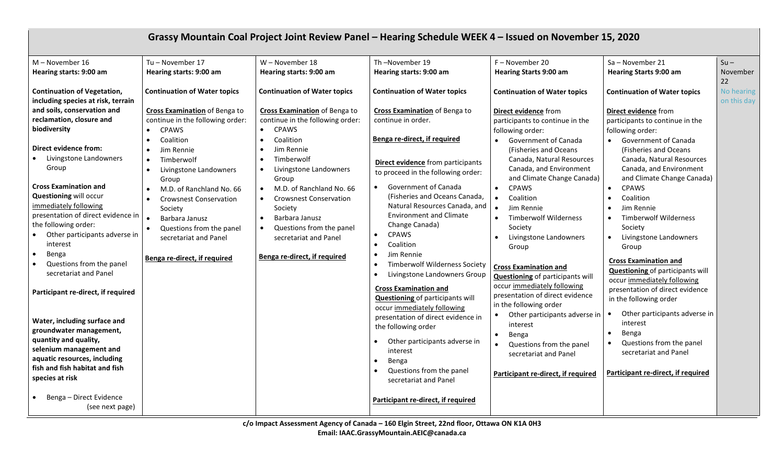| Grassy Mountain Coal Project Joint Review Panel - Hearing Schedule WEEK 4 - Issued on November 15, 2020                                                                                                                                                                                                                                                                                                                                                                                                                                                                                                                                                                                                                                   |                                                                                                                                                                                                                                                                                                                                                                                                                                   |                                                                                                                                                                                                                                                                                                                                                                                                                                                                          |                                                                                                                                                                                                                                                                                                                                                                                                                                                                                                                                                                                                                                                                                                                                                                                     |                                                                                                                                                                                                                                                                                                                                                                                                                                                                                                                                                                                                                                                                                                                                                                         |                                                                                                                                                                                                                                                                                                                                                                                                                                                                                                                                                                                                                                                                                                                            |                           |  |  |  |
|-------------------------------------------------------------------------------------------------------------------------------------------------------------------------------------------------------------------------------------------------------------------------------------------------------------------------------------------------------------------------------------------------------------------------------------------------------------------------------------------------------------------------------------------------------------------------------------------------------------------------------------------------------------------------------------------------------------------------------------------|-----------------------------------------------------------------------------------------------------------------------------------------------------------------------------------------------------------------------------------------------------------------------------------------------------------------------------------------------------------------------------------------------------------------------------------|--------------------------------------------------------------------------------------------------------------------------------------------------------------------------------------------------------------------------------------------------------------------------------------------------------------------------------------------------------------------------------------------------------------------------------------------------------------------------|-------------------------------------------------------------------------------------------------------------------------------------------------------------------------------------------------------------------------------------------------------------------------------------------------------------------------------------------------------------------------------------------------------------------------------------------------------------------------------------------------------------------------------------------------------------------------------------------------------------------------------------------------------------------------------------------------------------------------------------------------------------------------------------|-------------------------------------------------------------------------------------------------------------------------------------------------------------------------------------------------------------------------------------------------------------------------------------------------------------------------------------------------------------------------------------------------------------------------------------------------------------------------------------------------------------------------------------------------------------------------------------------------------------------------------------------------------------------------------------------------------------------------------------------------------------------------|----------------------------------------------------------------------------------------------------------------------------------------------------------------------------------------------------------------------------------------------------------------------------------------------------------------------------------------------------------------------------------------------------------------------------------------------------------------------------------------------------------------------------------------------------------------------------------------------------------------------------------------------------------------------------------------------------------------------------|---------------------------|--|--|--|
| $M - November 16$<br>Hearing starts: 9:00 am                                                                                                                                                                                                                                                                                                                                                                                                                                                                                                                                                                                                                                                                                              | Tu - November 17<br>Hearing starts: 9:00 am                                                                                                                                                                                                                                                                                                                                                                                       | W - November 18<br>Hearing starts: 9:00 am                                                                                                                                                                                                                                                                                                                                                                                                                               | Th-November 19<br>Hearing starts: 9:00 am                                                                                                                                                                                                                                                                                                                                                                                                                                                                                                                                                                                                                                                                                                                                           | F - November 20<br><b>Hearing Starts 9:00 am</b>                                                                                                                                                                                                                                                                                                                                                                                                                                                                                                                                                                                                                                                                                                                        | Sa - November 21<br><b>Hearing Starts 9:00 am</b>                                                                                                                                                                                                                                                                                                                                                                                                                                                                                                                                                                                                                                                                          | $Su -$<br>November<br>22  |  |  |  |
| <b>Continuation of Vegetation,</b><br>including species at risk, terrain<br>and soils, conservation and<br>reclamation, closure and<br>biodiversity<br>Direct evidence from:<br>Livingstone Landowners<br>Group<br><b>Cross Examination and</b><br><b>Questioning will occur</b><br>immediately following<br>presentation of direct evidence in<br>the following order:<br>Other participants adverse in<br>interest<br>Benga<br>$\bullet$<br>Questions from the panel<br>secretariat and Panel<br>Participant re-direct, if required<br>Water, including surface and<br>groundwater management,<br>quantity and quality,<br>selenium management and<br>aquatic resources, including<br>fish and fish habitat and fish<br>species at risk | <b>Continuation of Water topics</b><br><b>Cross Examination</b> of Benga to<br>continue in the following order:<br><b>CPAWS</b><br>Coalition<br>$\bullet$<br>Jim Rennie<br>Timberwolf<br>Livingstone Landowners<br>Group<br>M.D. of Ranchland No. 66<br>$\bullet$<br><b>Crowsnest Conservation</b><br>Society<br>Barbara Janusz<br>Questions from the panel<br>$\bullet$<br>secretariat and Panel<br>Benga re-direct, if required | <b>Continuation of Water topics</b><br><b>Cross Examination</b> of Benga to<br>continue in the following order:<br><b>CPAWS</b><br>$\bullet$<br>Coalition<br>$\bullet$<br>Jim Rennie<br>Timberwolf<br>Livingstone Landowners<br>Group<br>M.D. of Ranchland No. 66<br>$\bullet$<br><b>Crowsnest Conservation</b><br>$\bullet$<br>Society<br>Barbara Janusz<br>$\bullet$<br>Questions from the panel<br>$\bullet$<br>secretariat and Panel<br>Benga re-direct, if required | <b>Continuation of Water topics</b><br><b>Cross Examination</b> of Benga to<br>continue in order.<br>Benga re-direct, if required<br><b>Direct evidence</b> from participants<br>to proceed in the following order:<br><b>Government of Canada</b><br>(Fisheries and Oceans Canada,<br>Natural Resources Canada, and<br><b>Environment and Climate</b><br>Change Canada)<br><b>CPAWS</b><br>$\bullet$<br>Coalition<br>Jim Rennie<br><b>Timberwolf Wilderness Society</b><br>Livingstone Landowners Group<br><b>Cross Examination and</b><br>Questioning of participants will<br>occur immediately following<br>presentation of direct evidence in<br>the following order<br>Other participants adverse in<br>interest<br>Benga<br>Questions from the panel<br>secretariat and Panel | <b>Continuation of Water topics</b><br>Direct evidence from<br>participants to continue in the<br>following order:<br>• Government of Canada<br>(Fisheries and Oceans)<br>Canada, Natural Resources<br>Canada, and Environment<br>and Climate Change Canada)<br><b>CPAWS</b><br>$\bullet$<br>Coalition<br>$\bullet$<br>Jim Rennie<br>Timberwolf Wilderness<br>$\bullet$<br>Society<br>Livingstone Landowners<br>Group<br><b>Cross Examination and</b><br><b>Questioning of participants will</b><br>occur immediately following<br>presentation of direct evidence<br>in the following order<br>Other participants adverse in<br>interest<br>Benga<br>$\bullet$<br>Questions from the panel<br>$\bullet$<br>secretariat and Panel<br>Participant re-direct, if required | <b>Continuation of Water topics</b><br>Direct evidence from<br>participants to continue in the<br>following order:<br>• Government of Canada<br>(Fisheries and Oceans)<br>Canada, Natural Resources<br>Canada, and Environment<br>and Climate Change Canada)<br><b>CPAWS</b><br>$\bullet$<br>Coalition<br>Jim Rennie<br><b>Timberwolf Wilderness</b><br>Society<br>Livingstone Landowners<br>Group<br><b>Cross Examination and</b><br><b>Questioning of participants will</b><br>occur immediately following<br>presentation of direct evidence<br>in the following order<br>Other participants adverse in<br>interest<br>Benga<br>Questions from the panel<br>secretariat and Panel<br>Participant re-direct, if required | No hearing<br>on this day |  |  |  |
| Benga - Direct Evidence<br>(see next page)                                                                                                                                                                                                                                                                                                                                                                                                                                                                                                                                                                                                                                                                                                |                                                                                                                                                                                                                                                                                                                                                                                                                                   |                                                                                                                                                                                                                                                                                                                                                                                                                                                                          | Participant re-direct, if required                                                                                                                                                                                                                                                                                                                                                                                                                                                                                                                                                                                                                                                                                                                                                  |                                                                                                                                                                                                                                                                                                                                                                                                                                                                                                                                                                                                                                                                                                                                                                         |                                                                                                                                                                                                                                                                                                                                                                                                                                                                                                                                                                                                                                                                                                                            |                           |  |  |  |